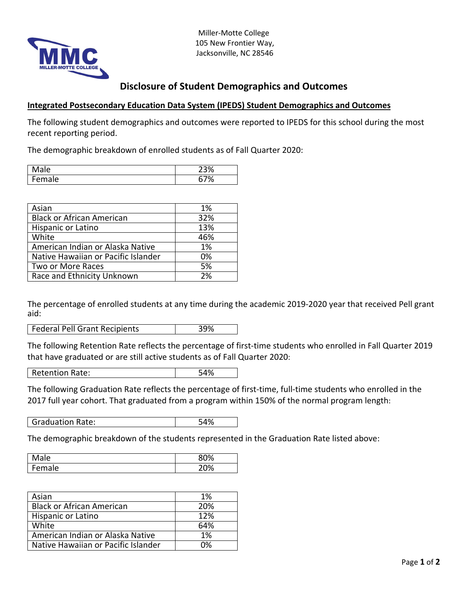

Miller-Motte College 105 New Frontier Way, Jacksonville, NC 28546

## **Disclosure of Student Demographics and Outcomes**

## **Integrated Postsecondary Education Data System (IPEDS) Student Demographics and Outcomes**

The following student demographics and outcomes were reported to IPEDS for this school during the most recent reporting period.

The demographic breakdown of enrolled students as of Fall Quarter 2020:

| was           | $\sim$<br>ັ |
|---------------|-------------|
| -<br>ale<br>∽ | ٠υ          |

| Asian                               | 1%  |
|-------------------------------------|-----|
| <b>Black or African American</b>    | 32% |
| Hispanic or Latino                  | 13% |
| White                               | 46% |
| American Indian or Alaska Native    | 1%  |
| Native Hawaiian or Pacific Islander | 0%  |
| Two or More Races                   | 5%  |
| Race and Ethnicity Unknown          | 2%  |

The percentage of enrolled students at any time during the academic 2019-2020 year that received Pell grant aid:

Federal Pell Grant Recipients 199%

The following Retention Rate reflects the percentage of first-time students who enrolled in Fall Quarter 2019 that have graduated or are still active students as of Fall Quarter 2020:

Retention Rate: 54%

The following Graduation Rate reflects the percentage of first-time, full-time students who enrolled in the 2017 full year cohort. That graduated from a program within 150% of the normal program length:

Graduation Rate: 54%

The demographic breakdown of the students represented in the Graduation Rate listed above:

| lale       | 80% |
|------------|-----|
| Fem<br>ale | 20% |

| Asian                               | 1%  |
|-------------------------------------|-----|
| <b>Black or African American</b>    | 20% |
| Hispanic or Latino                  | 12% |
| White                               | 64% |
| American Indian or Alaska Native    | 1%  |
| Native Hawaiian or Pacific Islander | በ%  |